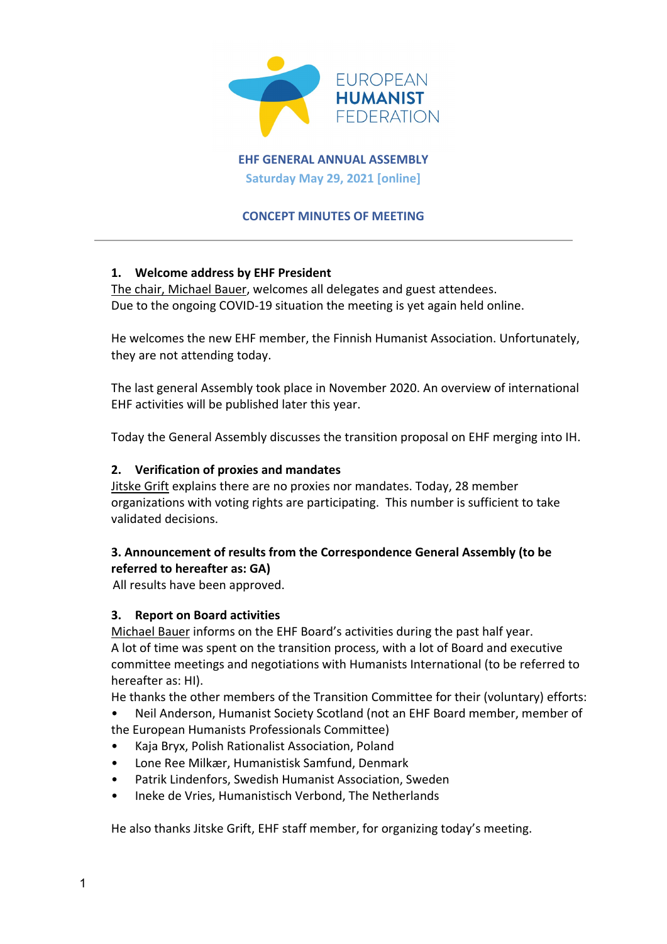

**EHF GENERAL ANNUAL ASSEMBLY Saturday May 29, 2021 [online]**

#### **CONCEPT MINUTES OF MEETING**

#### **1. Welcome address by EHF President**

The chair, Michael Bauer, welcomes all delegates and guest attendees. Due to the ongoing COVID-19 situation the meeting is yet again held online.

He welcomes the new EHF member, the Finnish Humanist Association. Unfortunately, they are not attending today.

The last general Assembly took place in November 2020. An overview of international EHF activities will be published later this year.

Today the General Assembly discusses the transition proposal on EHF merging into IH.

#### **2. Verification of proxies and mandates**

Jitske Grift explains there are no proxies nor mandates. Today, 28 member organizations with voting rights are participating. This number is sufficient to take validated decisions.

### **3. Announcement of results from the Correspondence General Assembly (to be referred to hereafter as: GA)**

All results have been approved.

#### **3. Report on Board activities**

Michael Bauer informs on the EHF Board's activities during the past half year. A lot of time was spent on the transition process, with a lot of Board and executive committee meetings and negotiations with Humanists International (to be referred to hereafter as: HI).

He thanks the other members of the Transition Committee for their (voluntary) efforts:

• Neil Anderson, Humanist Society Scotland (not an EHF Board member, member of the European Humanists Professionals Committee)

- Kaja Bryx, Polish Rationalist Association, Poland
- Lone Ree Milkær, Humanistisk Samfund, Denmark
- Patrik Lindenfors, Swedish Humanist Association, Sweden
- Ineke de Vries, Humanistisch Verbond, The Netherlands

He also thanks Jitske Grift, EHF staff member, for organizing today's meeting.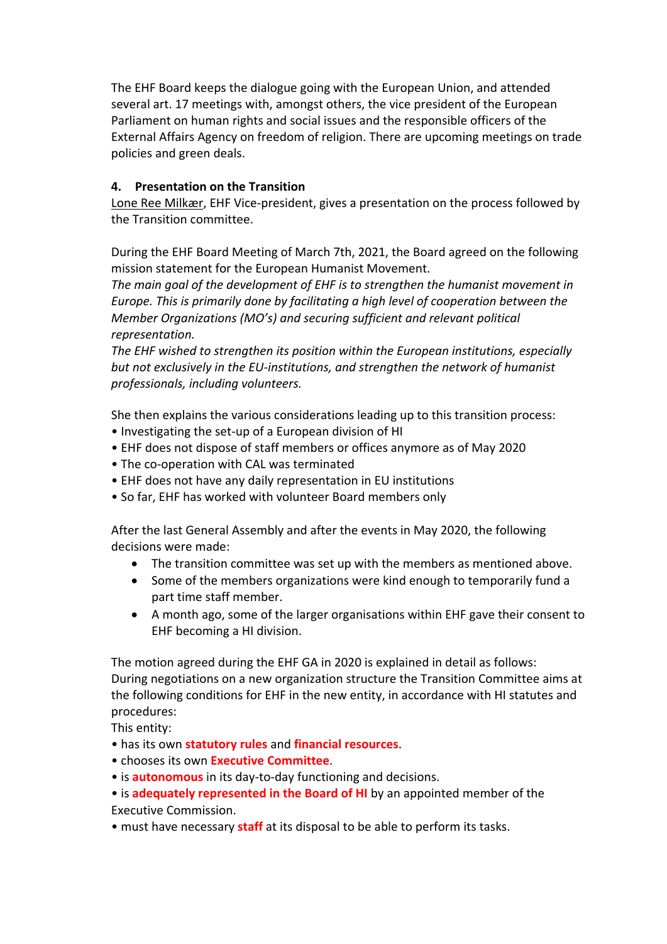The EHF Board keeps the dialogue going with the European Union, and attended several art. 17 meetings with, amongst others, the vice president of the European Parliament on human rights and social issues and the responsible officers of the External Affairs Agency on freedom of religion. There are upcoming meetings on trade policies and green deals.

### **4. Presentation on the Transition**

Lone Ree Milkær, EHF Vice-president, gives a presentation on the process followed by the Transition committee.

During the EHF Board Meeting of March 7th, 2021, the Board agreed on the following mission statement for the European Humanist Movement.

*The main goal of the development of EHF is to strengthen the humanist movement in Europe. This is primarily done by facilitating a high level of cooperation between the Member Organizations (MO's) and securing sufficient and relevant political representation.* 

*The EHF wished to strengthen its position within the European institutions, especially but not exclusively in the EU-institutions, and strengthen the network of humanist professionals, including volunteers.*

She then explains the various considerations leading up to this transition process:

- Investigating the set-up of a European division of HI
- EHF does not dispose of staff members or offices anymore as of May 2020
- The co-operation with CAL was terminated
- EHF does not have any daily representation in EU institutions
- So far, EHF has worked with volunteer Board members only

After the last General Assembly and after the events in May 2020, the following decisions were made:

- The transition committee was set up with the members as mentioned above.
- Some of the members organizations were kind enough to temporarily fund a part time staff member.
- A month ago, some of the larger organisations within EHF gave their consent to EHF becoming a HI division.

The motion agreed during the EHF GA in 2020 is explained in detail as follows: During negotiations on a new organization structure the Transition Committee aims at the following conditions for EHF in the new entity, in accordance with HI statutes and procedures:

This entity:

- has its own **statutory rules** and **financial resources**.
- chooses its own **Executive Committee**.
- is **autonomous** in its day-to-day functioning and decisions.
- is **adequately represented in the Board of HI** by an appointed member of the Executive Commission.
- must have necessary **staff** at its disposal to be able to perform its tasks.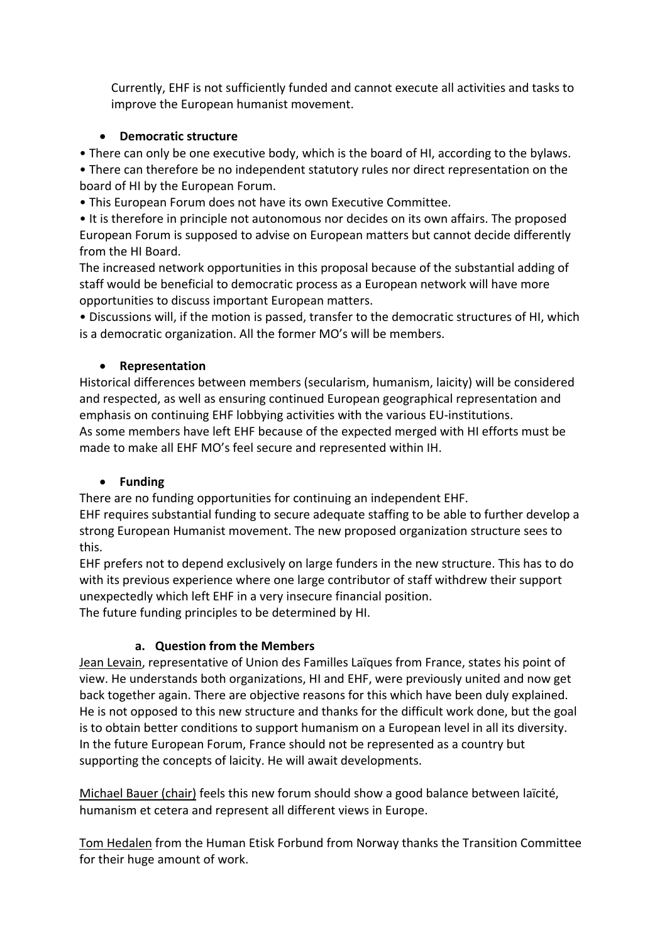Currently, EHF is not sufficiently funded and cannot execute all activities and tasks to improve the European humanist movement.

## • **Democratic structure**

• There can only be one executive body, which is the board of HI, according to the bylaws.

• There can therefore be no independent statutory rules nor direct representation on the board of HI by the European Forum.

• This European Forum does not have its own Executive Committee.

• It is therefore in principle not autonomous nor decides on its own affairs. The proposed European Forum is supposed to advise on European matters but cannot decide differently from the HI Board.

The increased network opportunities in this proposal because of the substantial adding of staff would be beneficial to democratic process as a European network will have more opportunities to discuss important European matters.

• Discussions will, if the motion is passed, transfer to the democratic structures of HI, which is a democratic organization. All the former MO's will be members.

## • **Representation**

Historical differences between members (secularism, humanism, laicity) will be considered and respected, as well as ensuring continued European geographical representation and emphasis on continuing EHF lobbying activities with the various EU-institutions. As some members have left EHF because of the expected merged with HI efforts must be made to make all EHF MO's feel secure and represented within IH.

## • **Funding**

There are no funding opportunities for continuing an independent EHF.

EHF requires substantial funding to secure adequate staffing to be able to further develop a strong European Humanist movement. The new proposed organization structure sees to this.

EHF prefers not to depend exclusively on large funders in the new structure. This has to do with its previous experience where one large contributor of staff withdrew their support unexpectedly which left EHF in a very insecure financial position.

The future funding principles to be determined by HI.

## **a. Question from the Members**

Jean Levain, representative of Union des Familles Laïques from France, states his point of view. He understands both organizations, HI and EHF, were previously united and now get back together again. There are objective reasons for this which have been duly explained. He is not opposed to this new structure and thanks for the difficult work done, but the goal is to obtain better conditions to support humanism on a European level in all its diversity. In the future European Forum, France should not be represented as a country but supporting the concepts of laicity. He will await developments.

Michael Bauer (chair) feels this new forum should show a good balance between laïcité, humanism et cetera and represent all different views in Europe.

Tom Hedalen from the Human Etisk Forbund from Norway thanks the Transition Committee for their huge amount of work.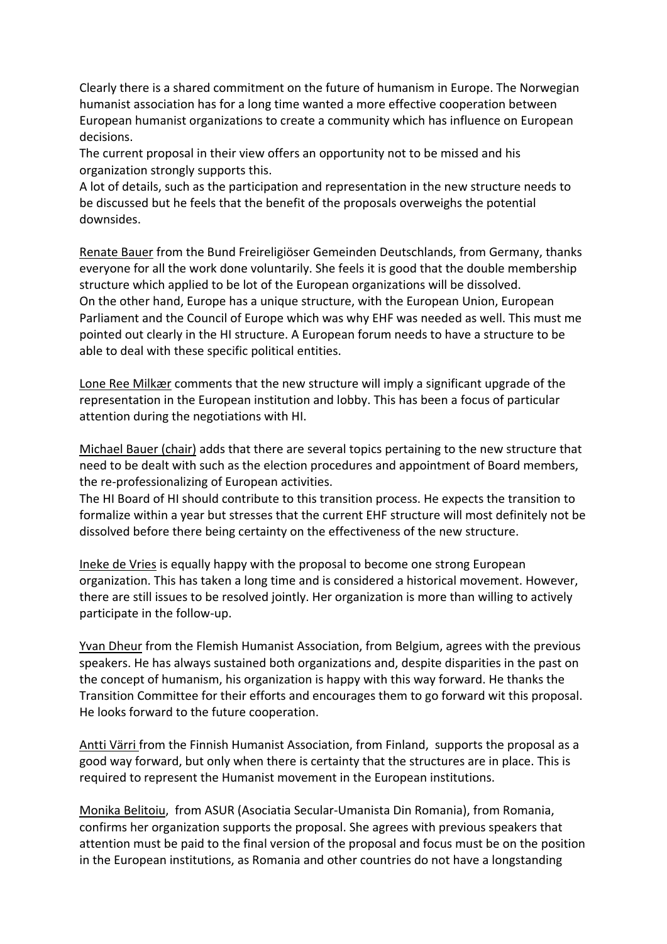Clearly there is a shared commitment on the future of humanism in Europe. The Norwegian humanist association has for a long time wanted a more effective cooperation between European humanist organizations to create a community which has influence on European decisions.

The current proposal in their view offers an opportunity not to be missed and his organization strongly supports this.

A lot of details, such as the participation and representation in the new structure needs to be discussed but he feels that the benefit of the proposals overweighs the potential downsides.

Renate Bauer from the Bund Freireligiöser Gemeinden Deutschlands, from Germany, thanks everyone for all the work done voluntarily. She feels it is good that the double membership structure which applied to be lot of the European organizations will be dissolved. On the other hand, Europe has a unique structure, with the European Union, European Parliament and the Council of Europe which was why EHF was needed as well. This must me pointed out clearly in the HI structure. A European forum needs to have a structure to be able to deal with these specific political entities.

Lone Ree Milkær comments that the new structure will imply a significant upgrade of the representation in the European institution and lobby. This has been a focus of particular attention during the negotiations with HI.

Michael Bauer (chair) adds that there are several topics pertaining to the new structure that need to be dealt with such as the election procedures and appointment of Board members, the re-professionalizing of European activities.

The HI Board of HI should contribute to this transition process. He expects the transition to formalize within a year but stresses that the current EHF structure will most definitely not be dissolved before there being certainty on the effectiveness of the new structure.

Ineke de Vries is equally happy with the proposal to become one strong European organization. This has taken a long time and is considered a historical movement. However, there are still issues to be resolved jointly. Her organization is more than willing to actively participate in the follow-up.

Yvan Dheur from the Flemish Humanist Association, from Belgium, agrees with the previous speakers. He has always sustained both organizations and, despite disparities in the past on the concept of humanism, his organization is happy with this way forward. He thanks the Transition Committee for their efforts and encourages them to go forward wit this proposal. He looks forward to the future cooperation.

Antti Värri from the Finnish Humanist Association, from Finland, supports the proposal as a good way forward, but only when there is certainty that the structures are in place. This is required to represent the Humanist movement in the European institutions.

Monika Belitoiu, from ASUR (Asociatia Secular-Umanista Din Romania), from Romania, confirms her organization supports the proposal. She agrees with previous speakers that attention must be paid to the final version of the proposal and focus must be on the position in the European institutions, as Romania and other countries do not have a longstanding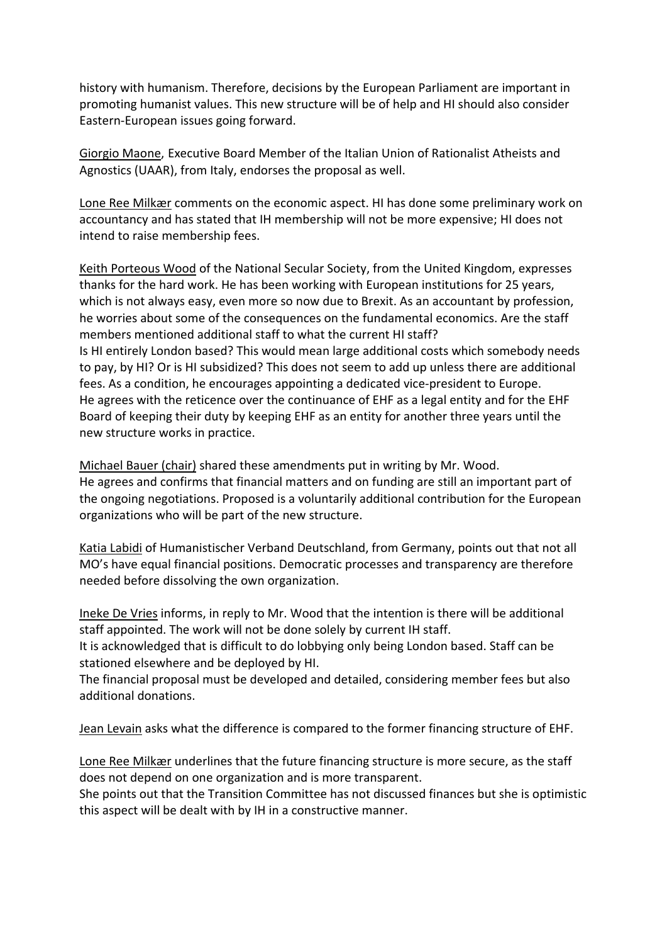history with humanism. Therefore, decisions by the European Parliament are important in promoting humanist values. This new structure will be of help and HI should also consider Eastern-European issues going forward.

Giorgio Maone, Executive Board Member of the Italian Union of Rationalist Atheists and Agnostics (UAAR), from Italy, endorses the proposal as well.

Lone Ree Milkær comments on the economic aspect. HI has done some preliminary work on accountancy and has stated that IH membership will not be more expensive; HI does not intend to raise membership fees.

Keith Porteous Wood of the National Secular Society, from the United Kingdom, expresses thanks for the hard work. He has been working with European institutions for 25 years, which is not always easy, even more so now due to Brexit. As an accountant by profession, he worries about some of the consequences on the fundamental economics. Are the staff members mentioned additional staff to what the current HI staff? Is HI entirely London based? This would mean large additional costs which somebody needs to pay, by HI? Or is HI subsidized? This does not seem to add up unless there are additional fees. As a condition, he encourages appointing a dedicated vice-president to Europe. He agrees with the reticence over the continuance of EHF as a legal entity and for the EHF Board of keeping their duty by keeping EHF as an entity for another three years until the new structure works in practice.

Michael Bauer (chair) shared these amendments put in writing by Mr. Wood. He agrees and confirms that financial matters and on funding are still an important part of the ongoing negotiations. Proposed is a voluntarily additional contribution for the European organizations who will be part of the new structure.

Katia Labidi of Humanistischer Verband Deutschland, from Germany, points out that not all MO's have equal financial positions. Democratic processes and transparency are therefore needed before dissolving the own organization.

Ineke De Vries informs, in reply to Mr. Wood that the intention is there will be additional staff appointed. The work will not be done solely by current IH staff.

It is acknowledged that is difficult to do lobbying only being London based. Staff can be stationed elsewhere and be deployed by HI.

The financial proposal must be developed and detailed, considering member fees but also additional donations.

Jean Levain asks what the difference is compared to the former financing structure of EHF.

Lone Ree Milkær underlines that the future financing structure is more secure, as the staff does not depend on one organization and is more transparent.

She points out that the Transition Committee has not discussed finances but she is optimistic this aspect will be dealt with by IH in a constructive manner.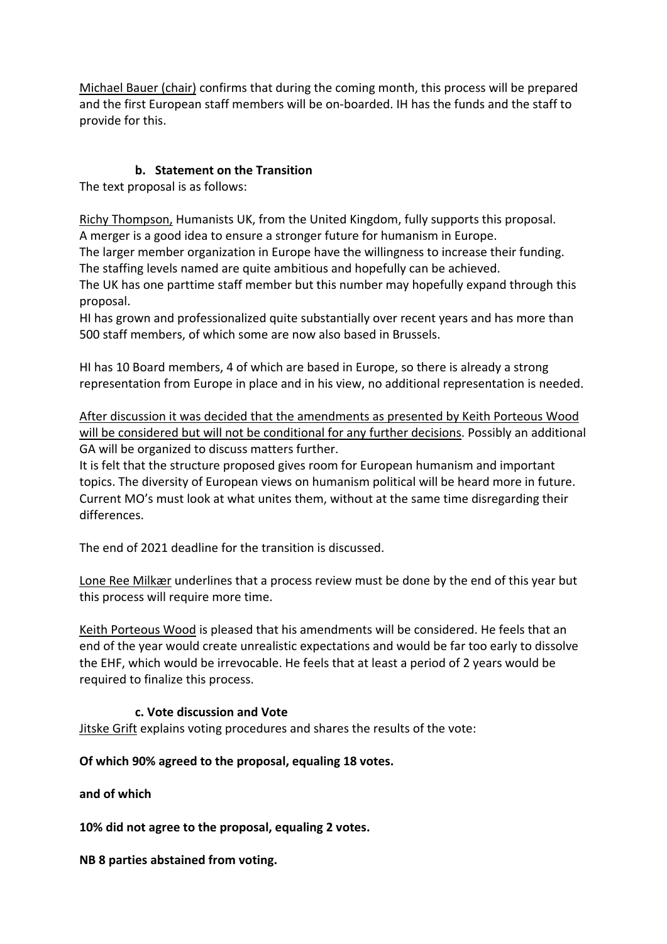Michael Bauer (chair) confirms that during the coming month, this process will be prepared and the first European staff members will be on-boarded. IH has the funds and the staff to provide for this.

## **b. Statement on the Transition**

The text proposal is as follows:

Richy Thompson, Humanists UK, from the United Kingdom, fully supports this proposal. A merger is a good idea to ensure a stronger future for humanism in Europe.

The larger member organization in Europe have the willingness to increase their funding. The staffing levels named are quite ambitious and hopefully can be achieved.

The UK has one parttime staff member but this number may hopefully expand through this proposal.

HI has grown and professionalized quite substantially over recent years and has more than 500 staff members, of which some are now also based in Brussels.

HI has 10 Board members, 4 of which are based in Europe, so there is already a strong representation from Europe in place and in his view, no additional representation is needed.

After discussion it was decided that the amendments as presented by Keith Porteous Wood will be considered but will not be conditional for any further decisions. Possibly an additional GA will be organized to discuss matters further.

It is felt that the structure proposed gives room for European humanism and important topics. The diversity of European views on humanism political will be heard more in future. Current MO's must look at what unites them, without at the same time disregarding their differences.

The end of 2021 deadline for the transition is discussed.

Lone Ree Milkær underlines that a process review must be done by the end of this year but this process will require more time.

Keith Porteous Wood is pleased that his amendments will be considered. He feels that an end of the year would create unrealistic expectations and would be far too early to dissolve the EHF, which would be irrevocable. He feels that at least a period of 2 years would be required to finalize this process.

### **c. Vote discussion and Vote**

Jitske Grift explains voting procedures and shares the results of the vote:

**Of which 90% agreed to the proposal, equaling 18 votes.**

**and of which**

**10% did not agree to the proposal, equaling 2 votes.**

**NB 8 parties abstained from voting.**